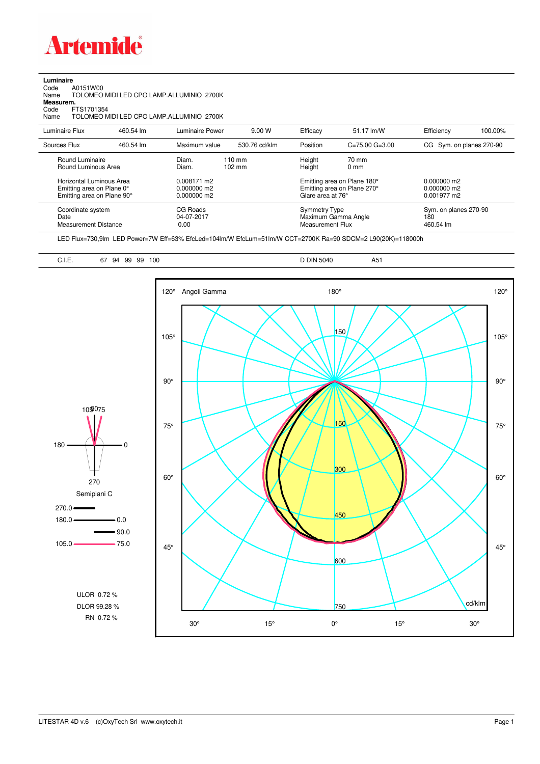

**Luminaire**<br>Code /<br>Name 1 Code A0151W00 Name TOLOMEO MIDI LED CPO LAMP.ALLUMINIO 2700K

**Measurem.**

Code FTS1701354 Name TOLOMEO MIDI LED CPO LAMP.ALLUMINIO 2700K

| Luminaire Flux                                                                                                                | 460.54 lm | Luminaire Power                                                 | 9.00 W                               | Efficacy                              | 51.17 lm/W                                                                            | Efficiency                                      | 100.00% |
|-------------------------------------------------------------------------------------------------------------------------------|-----------|-----------------------------------------------------------------|--------------------------------------|---------------------------------------|---------------------------------------------------------------------------------------|-------------------------------------------------|---------|
| Sources Flux                                                                                                                  | 460.54 lm | Maximum value                                                   | 530.76 cd/klm                        | Position                              | $C = 75.00$ $G = 3.00$                                                                | CG Sym. on planes 270-90                        |         |
| Round Luminaire<br>Round Luminous Area<br>Horizontal Luminous Area<br>Emitting area on Plane 0°<br>Emitting area on Plane 90° |           | Diam.<br>Diam.<br>0.008171 m2<br>$0.000000$ m2<br>$0.000000$ m2 | $110 \text{ mm}$<br>$102 \text{ mm}$ | Height<br>Height<br>Glare area at 76° | 70 mm<br>$0 \text{ mm}$<br>Emitting area on Plane 180°<br>Emitting area on Plane 270° | $0.000000$ m2<br>$0.000000$ m2<br>$0.001977$ m2 |         |
| Coordinate system<br>Date<br><b>Measurement Distance</b>                                                                      |           | CG Roads<br>04-07-2017<br>0.00                                  |                                      | Symmetry Type<br>Measurement Flux     | Maximum Gamma Angle                                                                   | Sym. on planes 270-90<br>180<br>460.54 lm       |         |

LED Flux=730,9lm LED Power=7W Eff=63% EfcLed=104lm/W EfcLum=51lm/W CCT=2700K Ra=90 SDCM=2 L90(20K)=118000h